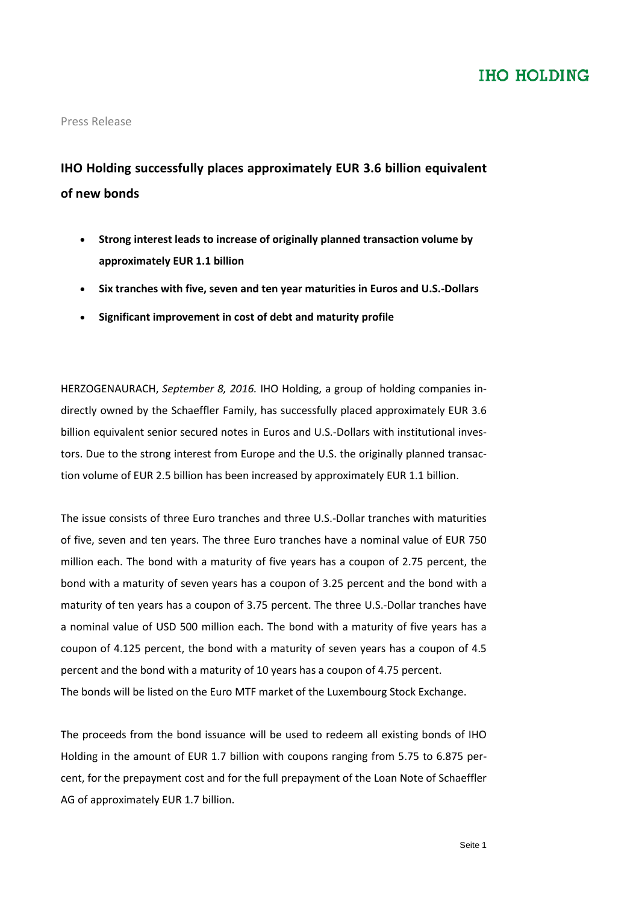### **IHO HOLDING**

### Press Release

## **IHO Holding successfully places approximately EUR 3.6 billion equivalent of new bonds**

- **Strong interest leads to increase of originally planned transaction volume by approximately EUR 1.1 billion**
- **Six tranches with five, seven and ten year maturities in Euros and U.S.-Dollars**
- **Significant improvement in cost of debt and maturity profile**

HERZOGENAURACH, *September 8, 2016.* IHO Holding, a group of holding companies indirectly owned by the Schaeffler Family, has successfully placed approximately EUR 3.6 billion equivalent senior secured notes in Euros and U.S.-Dollars with institutional investors. Due to the strong interest from Europe and the U.S. the originally planned transaction volume of EUR 2.5 billion has been increased by approximately EUR 1.1 billion.

The issue consists of three Euro tranches and three U.S.-Dollar tranches with maturities of five, seven and ten years. The three Euro tranches have a nominal value of EUR 750 million each. The bond with a maturity of five years has a coupon of 2.75 percent, the bond with a maturity of seven years has a coupon of 3.25 percent and the bond with a maturity of ten years has a coupon of 3.75 percent. The three U.S.-Dollar tranches have a nominal value of USD 500 million each. The bond with a maturity of five years has a coupon of 4.125 percent, the bond with a maturity of seven years has a coupon of 4.5 percent and the bond with a maturity of 10 years has a coupon of 4.75 percent. The bonds will be listed on the Euro MTF market of the Luxembourg Stock Exchange.

The proceeds from the bond issuance will be used to redeem all existing bonds of IHO Holding in the amount of EUR 1.7 billion with coupons ranging from 5.75 to 6.875 percent, for the prepayment cost and for the full prepayment of the Loan Note of Schaeffler AG of approximately EUR 1.7 billion.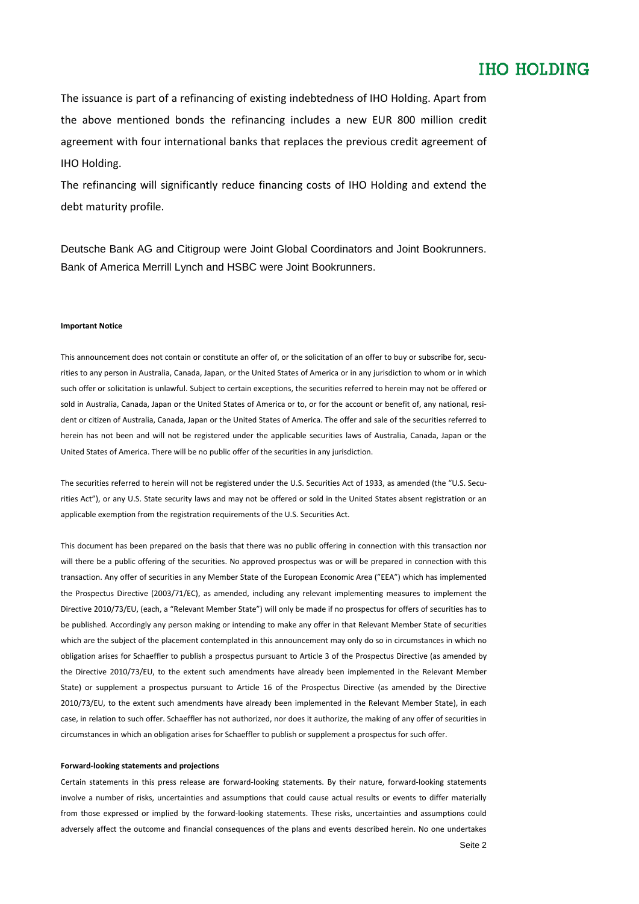### **IHO HOLDING**

The issuance is part of a refinancing of existing indebtedness of IHO Holding. Apart from the above mentioned bonds the refinancing includes a new EUR 800 million credit agreement with four international banks that replaces the previous credit agreement of IHO Holding.

The refinancing will significantly reduce financing costs of IHO Holding and extend the debt maturity profile.

Deutsche Bank AG and Citigroup were Joint Global Coordinators and Joint Bookrunners. Bank of America Merrill Lynch and HSBC were Joint Bookrunners.

#### **Important Notice**

This announcement does not contain or constitute an offer of, or the solicitation of an offer to buy or subscribe for, securities to any person in Australia, Canada, Japan, or the United States of America or in any jurisdiction to whom or in which such offer or solicitation is unlawful. Subject to certain exceptions, the securities referred to herein may not be offered or sold in Australia, Canada, Japan or the United States of America or to, or for the account or benefit of, any national, resident or citizen of Australia, Canada, Japan or the United States of America. The offer and sale of the securities referred to herein has not been and will not be registered under the applicable securities laws of Australia, Canada, Japan or the United States of America. There will be no public offer of the securities in any jurisdiction.

The securities referred to herein will not be registered under the U.S. Securities Act of 1933, as amended (the "U.S. Securities Act"), or any U.S. State security laws and may not be offered or sold in the United States absent registration or an applicable exemption from the registration requirements of the U.S. Securities Act.

This document has been prepared on the basis that there was no public offering in connection with this transaction nor will there be a public offering of the securities. No approved prospectus was or will be prepared in connection with this transaction. Any offer of securities in any Member State of the European Economic Area ("EEA") which has implemented the Prospectus Directive (2003/71/EC), as amended, including any relevant implementing measures to implement the Directive 2010/73/EU, (each, a "Relevant Member State") will only be made if no prospectus for offers of securities has to be published. Accordingly any person making or intending to make any offer in that Relevant Member State of securities which are the subject of the placement contemplated in this announcement may only do so in circumstances in which no obligation arises for Schaeffler to publish a prospectus pursuant to Article 3 of the Prospectus Directive (as amended by the Directive 2010/73/EU, to the extent such amendments have already been implemented in the Relevant Member State) or supplement a prospectus pursuant to Article 16 of the Prospectus Directive (as amended by the Directive 2010/73/EU, to the extent such amendments have already been implemented in the Relevant Member State), in each case, in relation to such offer. Schaeffler has not authorized, nor does it authorize, the making of any offer of securities in circumstances in which an obligation arises for Schaeffler to publish or supplement a prospectus for such offer.

#### **Forward-looking statements and projections**

Certain statements in this press release are forward-looking statements. By their nature, forward-looking statements involve a number of risks, uncertainties and assumptions that could cause actual results or events to differ materially from those expressed or implied by the forward-looking statements. These risks, uncertainties and assumptions could adversely affect the outcome and financial consequences of the plans and events described herein. No one undertakes